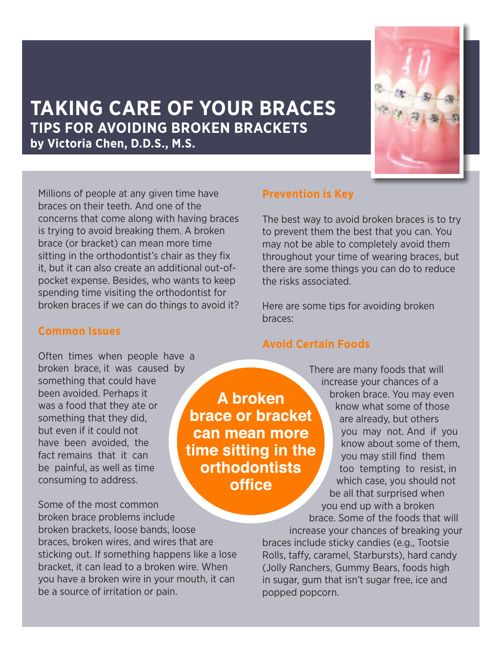

# **TAKING CARE OF YOUR BRACES TIPS FOR AVOIDING BROKEN BRACKETS by Victoria Chen, D.D.S., M.S.**

Millions of people at any given time have braces on their teeth. And one of the concerns that come along with having braces is trying to avoid breaking them. A broken brace (or bracket) can mean more time sitting in the orthodontist's chair as they fix it, but it can also create an additional out-ofpocket expense. Besides, who wants to keep spending time visiting the orthodontist for broken braces if we can do things to avoid it?

#### **Common Issues**

Often times when people have a broken brace, it was caused by something that could have been avoided. Perhaps it was a food that they ate or something that they did, but even if it could not have been avoided, the fact remains that it can be painful, as well as time consuming to address.

Some of the most common broken brace problems include broken brackets, loose bands, loose braces, broken wires, and wires that are sticking out. If something happens like a lose bracket, it can lead to a broken wire. When you have a broken wire in your mouth, it can be a source of irritation or pain.

**Prevention is Key**

The best way to avoid broken braces is to try to prevent them the best that you can. You may not be able to completely avoid them throughout your time of wearing braces, but there are some things you can do to reduce the risks associated.

Here are some tips for avoiding broken braces:

#### **Avoid Certain Foods**

A broken

**brace or bracket** 

can mean more

time sitting in the **orthodontists** 

**office** 

There are many foods that will increase your chances of a broken brace. You may even know what some of those are already, but others you may not. And if you know about some of them, you may still find them too tempting to resist, in which case, you should not be all that surprised when you end up with a broken brace. Some of the foods that will

increase your chances of breaking your braces include sticky candies (e.g., Tootsie Rolls, taffy, caramel, Starbursts), hard candy (Jolly Ranchers, Gummy Bears, foods high in sugar, gum that isn't sugar free, ice and popped popcorn.